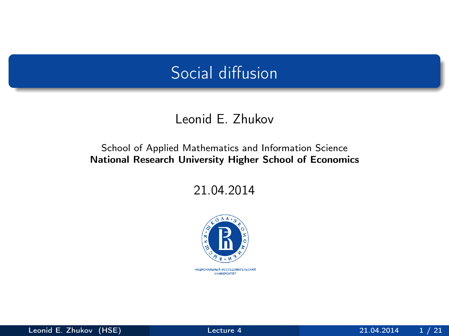## Social diffusion

#### Leonid E. Zhukov

#### School of Applied Mathematics and Information Science National Research University Higher School of Economics

21.04.2014



<span id="page-0-0"></span>НАЦИОНАЛЬНЫЙ ИССЛЕДОВАТЕЛЬСКИЙ **YHMBEPCWTET**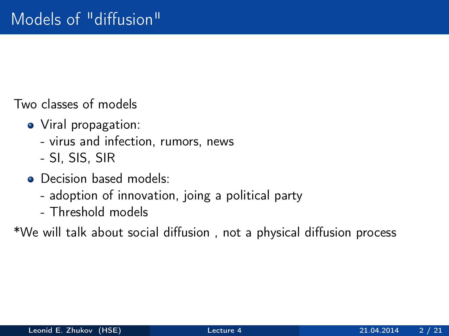Two classes of models

- Viral propagation:
	- virus and infection, rumors, news
	- SI, SIS, SIR
- Decision based models:
	- adoption of innovation, joing a political party
	- Threshold models

\*We will talk about social diffusion , not a physical diffusion process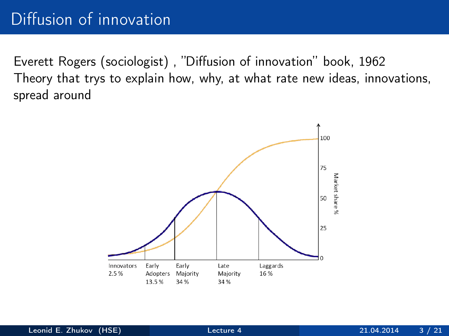Everett Rogers (sociologist) , "Diffusion of innovation" book, 1962 Theory that trys to explain how, why, at what rate new ideas, innovations, spread around

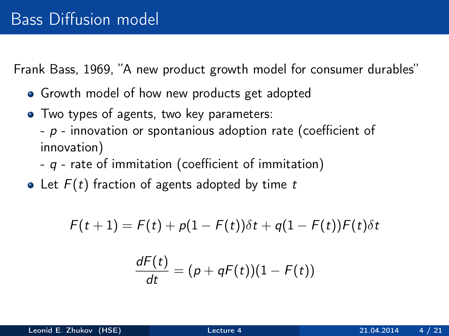Frank Bass, 1969, "A new product growth model for consumer durables"

- Growth model of how new products get adopted
- Two types of agents, two key parameters:
	- $-p$  innovation or spontanious adoption rate (coefficient of innovation)
	- $q$  rate of immitation (coefficient of immitation)
- Let  $F(t)$  fraction of agents adopted by time t

$$
F(t+1) = F(t) + p(1 - F(t))\delta t + q(1 - F(t))F(t)\delta t
$$

$$
\frac{dF(t)}{dt}=(p+qF(t))(1-F(t))
$$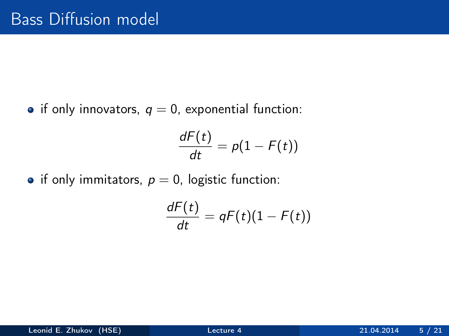• if only innovators,  $q = 0$ , exponential function:

$$
\frac{dF(t)}{dt} = p(1 - F(t))
$$

• if only immitators,  $p = 0$ , logistic function:

$$
\frac{dF(t)}{dt}=qF(t)(1-F(t))
$$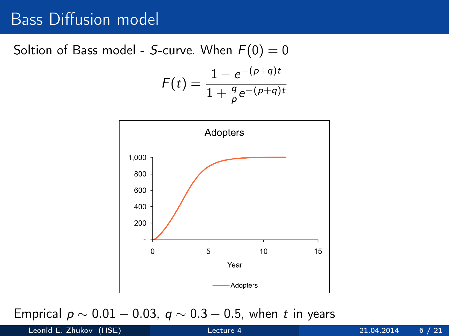#### Bass Diffusion model

Soltion of Bass model - S-curve. When  $F(0) = 0$ 

$$
F(t) = \frac{1 - e^{-(p+q)t}}{1 + \frac{q}{p}e^{-(p+q)t}}
$$



Emprical  $p \sim 0.01 - 0.03$ ,  $q \sim 0.3 - 0.5$ , when t in years

Leonid E. Zhukov (HSE) [Lecture 4](#page-0-0) 21.04.2014 6 / 21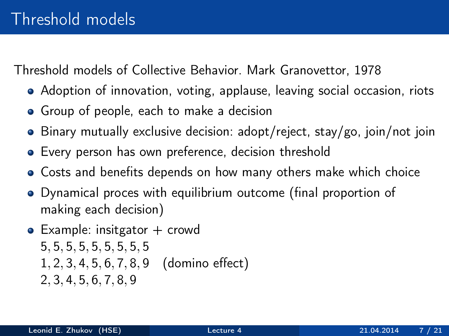Threshold models of Collective Behavior. Mark Granovettor, 1978

- Adoption of innovation, voting, applause, leaving social occasion, riots
- Group of people, each to make a decision
- Binary mutually exclusive decision: adopt/reject, stay/go, join/not join
- Every person has own preference, decision threshold
- Costs and benefits depends on how many others make which choice
- Dynamical proces with equilibrium outcome (final proportion of making each decision)
- $\bullet$  Example: insitgator  $+$  crowd 5, 5, 5, 5, 5, 5, 5, 5, 5 1, 2, 3, 4, 5, 6, 7, 8, 9 (domino effect) 2, 3, 4, 5, 6, 7, 8, 9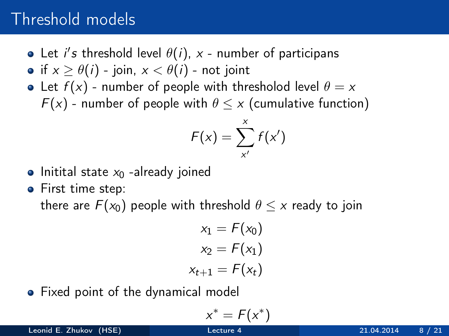# Threshold models

- Let i's threshold level  $\theta(i)$ , x number of participans
- if  $x > \theta(i)$  join,  $x < \theta(i)$  not joint
- Let  $f(x)$  number of people with thresholod level  $\theta = x$  $F(x)$  - number of people with  $\theta \leq x$  (cumulative function)

$$
F(x) = \sum_{x'}^{x} f(x')
$$

- $\bullet$  Initital state  $x_0$  -already joined
- First time step: there are  $F(x_0)$  people with threshold  $\theta \leq x$  ready to join

$$
x_1 = F(x_0)
$$
  

$$
x_2 = F(x_1)
$$
  

$$
x_{t+1} = F(x_t)
$$

• Fixed point of the dynamical model

$$
x^* = F(x^*)
$$

Leonid E. Zhukov (HSE) [Lecture 4](#page-0-0) 21.04.2014 8 / 21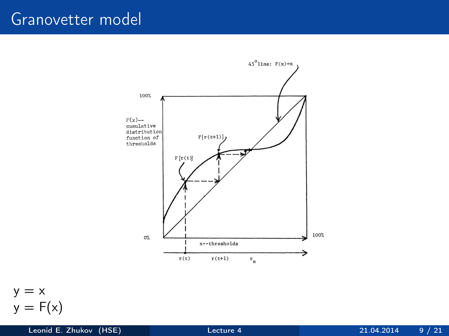### Granovetter model





Leonid E. Zhukov (HSE) [Lecture 4](#page-0-0) 21.04.2014 9 / 21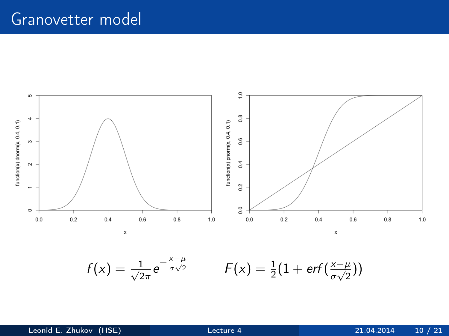#### Granovetter model

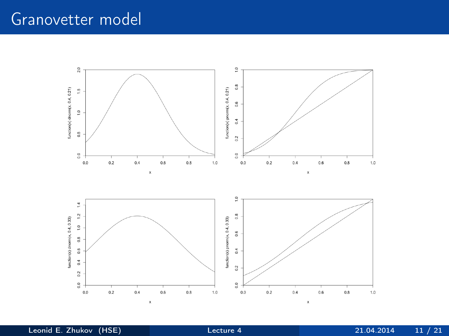# Granovetter model



Leonid E. Zhukov (HSE) [Lecture 4](#page-0-0) 21.04.2014 11 / 21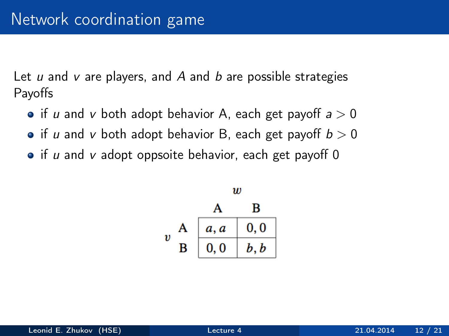Let  $u$  and  $v$  are players, and  $A$  and  $b$  are possible strategies Payoffs

- if u and v both adopt behavior A, each get payoff  $a > 0$
- if u and v both adopt behavior B, each get payoff  $b > 0$
- $\bullet$  if u and v adopt oppsoite behavior, each get payoff 0

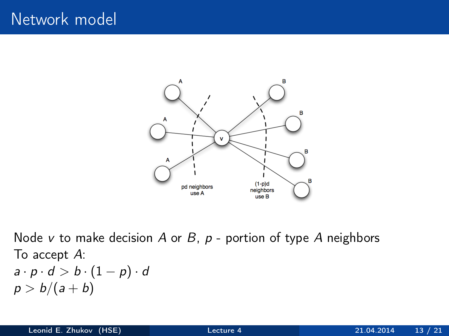

Node v to make decision A or B,  $p$  - portion of type A neighbors To accept A:  $a \cdot p \cdot d > b \cdot (1-p) \cdot d$  $p > b/(a + b)$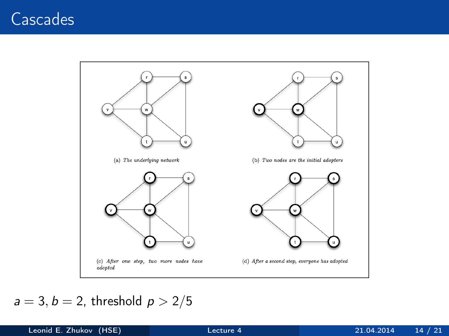# Cascades



#### $a = 3, b = 2$ , threshold  $p > 2/5$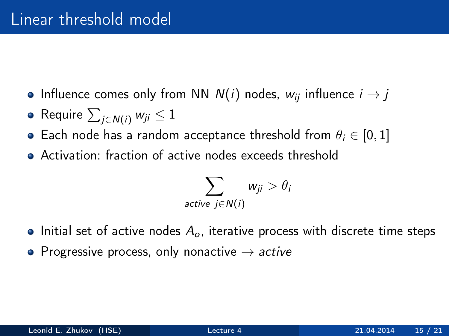- Influence comes only from NN  $N(i)$  nodes,  $w_{ii}$  influence  $i \rightarrow j$
- Require  $\sum_{j\in \mathcal{N}(i)} w_{ji} \leq 1$
- Each node has a random acceptance threshold from  $\theta_i \in [0, 1]$
- Activation: fraction of active nodes exceeds threshold

$$
\sum_{\text{active } j \in N(i)} w_{ji} > \theta_i
$$

- Initial set of active nodes  $A_{\alpha}$ , iterative process with discrete time steps
- Progressive process, only nonactive  $\rightarrow$  active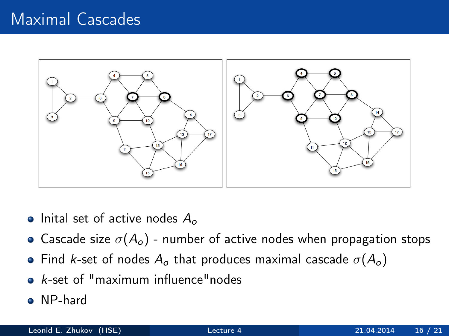# Maximal Cascades



- Inital set of active nodes  $A_{\alpha}$
- Cascade size  $\sigma(A_o)$  number of active nodes when propagation stops
- Find k-set of nodes  $A_o$  that produces maximal cascade  $\sigma(A_o)$
- $\bullet$  k-set of "maximum influence" nodes
- NP-hard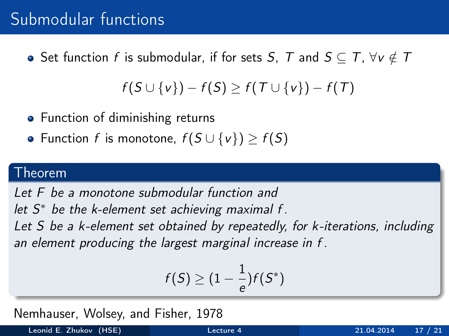# Submodular functions

• Set function f is submodular, if for sets S, T and  $S \subseteq T$ ,  $\forall v \notin T$ 

$$
f(S \cup \{v\}) - f(S) \geq f(T \cup \{v\}) - f(T)
$$

- Function of diminishing returns
- Function f is monotone,  $f(S \cup \{v\}) \ge f(S)$

#### Theorem

Let F be a monotone submodular function and

let  $S^*$  be the k-element set achieving maximal f.

Let S be a k-element set obtained by repeatedly, for k-iterations, including an element producing the largest marginal increase in f .

$$
f(S) \geq (1-\frac{1}{e})f(S^*)
$$

Nemhauser, Wolsey, and Fisher, 1978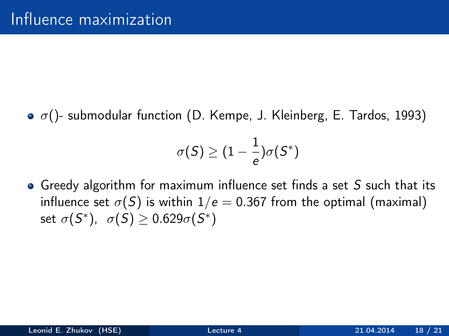$\sigma$   $\sigma$ ()- submodular function (D. Kempe, J. Kleinberg, E. Tardos, 1993)

$$
\sigma(S) \geq (1-\frac{1}{e})\sigma(S^*)
$$

• Greedy algorithm for maximum influence set finds a set  $S$  such that its influence set  $\sigma(S)$  is within  $1/e = 0.367$  from the optimal (maximal) set  $\sigma(S^*), \ \sigma(S) \geq 0.629 \sigma(S^*)$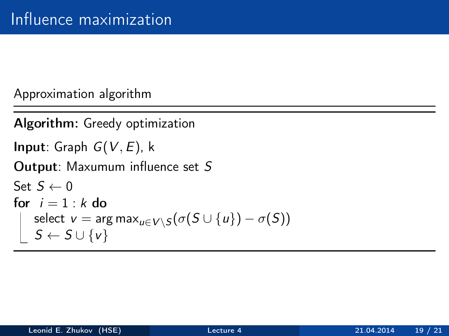Approximation algorithm

```
Algorithm: Greedy optimization
Input: Graph G(V, E), k
Output: Maxumum influence set S
Set S \leftarrow 0for i = 1 : k do
       select \text{v} = \text{arg max}_{\textcolor{black}{u} \in \text{V} \setminus \textcolor{black}{S}} ( \sigma(\textcolor{black}{S} \cup \{\textcolor{black}{u}\}) - \sigma(\textcolor{black}{S}))S \leftarrow S \cup \{v\}
```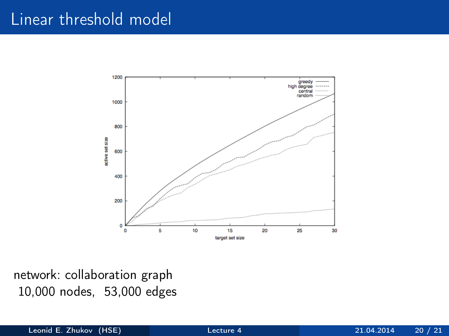### Linear threshold model



network: collaboration graph 10,000 nodes, 53,000 edges